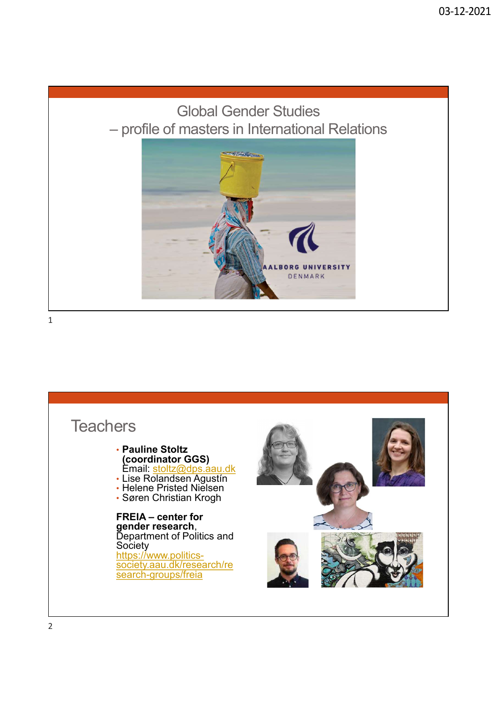### Global Gender Studies



 $1$ 

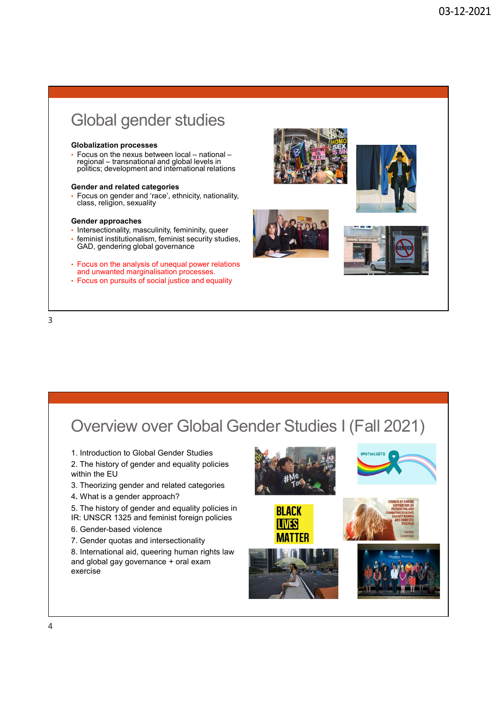### Global gender studies

### Globalization processes

### Gender and related categories

• Focus on gender and 'race', ethnicity, nationality, class, religion, sexuality

### Gender approaches

- Intersectionality, masculinity, femininity, queer
- 
- 
- 



1. Introduction to Global Gender Studies

2. The history of gender and equality policies within the EU

- 3. Theorizing gender and related categories
- 4. What is a gender approach?
- 5. The history of gender and equality policies in **BLACK**
- IR: UNSCR 1325 and feminist foreign policies
- 6. Gender-based violence
- 7. Gender quotas and intersectionality

8. International aid, queering human rights law and global gay governance + oral exam exercise









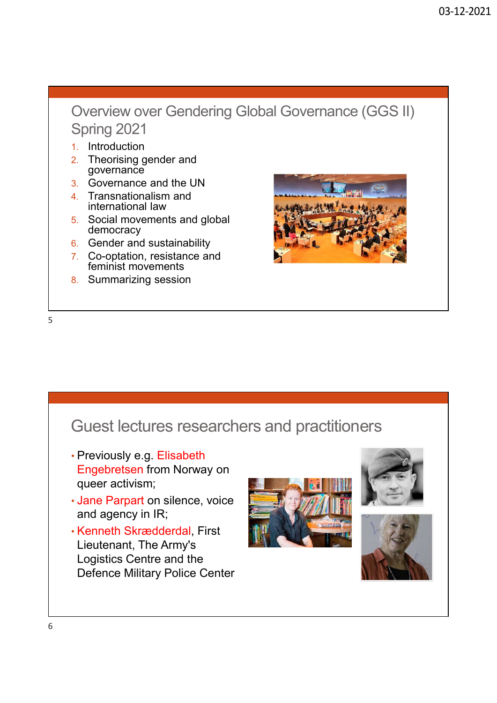## Overview over Gendering Global Governance (GGS II) Spring 2021 2. Theorising gender and<br>
2. Theorising gender and<br>
2. Theorising gender and<br>
2. Theorising gender and<br>
2. Governance and the UN<br>
4. Transnationalism and<br>
4. Transnationalism and<br>
international law Overview over Gendering Global Governance (GGS II)<br>Spring 2021<br>2. Theorising gender and<br>2. Theorising gender and<br>3. Governance and the UN<br>5. Social movements and global<br>5. Social movements and global<br>6. Gender and sustaina

- 1. Introduction
- governance
- 3. Governance and the UN
- 4. Transnationalism and international law
- 5. Social movements and global democracy
- 6. Gender and sustainability
- 7. Co-optation, resistance and feminist movements
- 



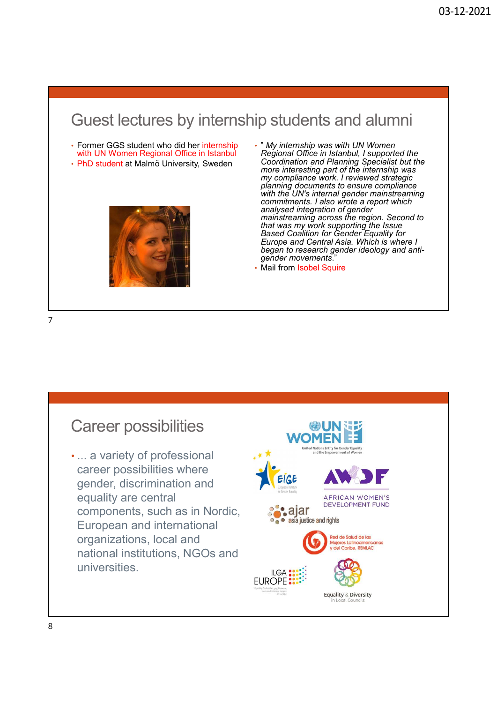# Guest lectures by internship students and alumni<br>Former GGS student who did her internship<br>with UN Women Regional Office in Istanbul<br>With UN Women Regional Office in Istanbul<br>PhD student at Malmö University, Sweden<br>For int

- with UN Women Regional Office in Istanbul
- PhD student at Malmö University, Sweden



- " My internship was with UN Women Regional Office in Istanbul, I supported the Coordination and Planning Specialist but the more interesting part of the internship was my compliance work. I reviewed strategic planning documents to ensure compliance with the UN's internal gender mainstreaming commitments. I also wrote a report which 03-12-2021<br>
03-12-2021<br>
20 Students and alumni<br>
<sup>2</sup> My internship was with UN Women<br>
Regional Office in Istanbul, I supported the<br>
coordination and Planning Specialist but the<br>
more interesting part of the internship was<br> mainstreaming across the region. Second to that was my work supporting the Issue Based Coalition for Gender Equality for Europe and Central Asia. Which is where I began to research gender ideology and anti-<br>gender movements."
- Mail from Isobel Squire

7